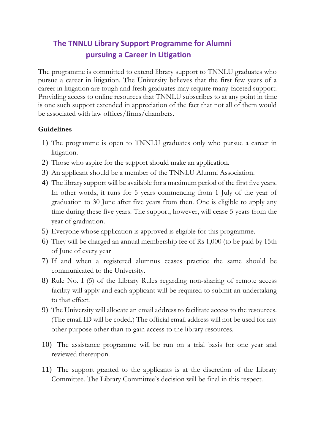## **The TNNLU Library Support Programme for Alumni pursuing a Career in Litigation**

The programme is committed to extend library support to TNNLU graduates who pursue a career in litigation. The University believes that the first few years of a career in litigation are tough and fresh graduates may require many-faceted support. Providing access to online resources that TNNLU subscribes to at any point in time is one such support extended in appreciation of the fact that not all of them would be associated with law offices/firms/chambers.

## **Guidelines**

- 1) The programme is open to TNNLU graduates only who pursue a career in litigation.
- 2) Those who aspire for the support should make an application.
- 3) An applicant should be a member of the TNNLU Alumni Association.
- 4) The library support will be available for a maximum period of the first five years. In other words, it runs for 5 years commencing from 1 July of the year of graduation to 30 June after five years from then. One is eligible to apply any time during these five years. The support, however, will cease 5 years from the year of graduation.
- 5) Everyone whose application is approved is eligible for this programme.
- 6) They will be charged an annual membership fee of Rs 1,000 (to be paid by 15th of June of every year
- 7) If and when a registered alumnus ceases practice the same should be communicated to the University.
- 8) Rule No. I (5) of the Library Rules regarding non-sharing of remote access facility will apply and each applicant will be required to submit an undertaking to that effect.
- 9) The University will allocate an email address to facilitate access to the resources. (The email ID will be coded.) The official email address will not be used for any other purpose other than to gain access to the library resources.
- 10) The assistance programme will be run on a trial basis for one year and reviewed thereupon.
- 11) The support granted to the applicants is at the discretion of the Library Committee. The Library Committee's decision will be final in this respect.